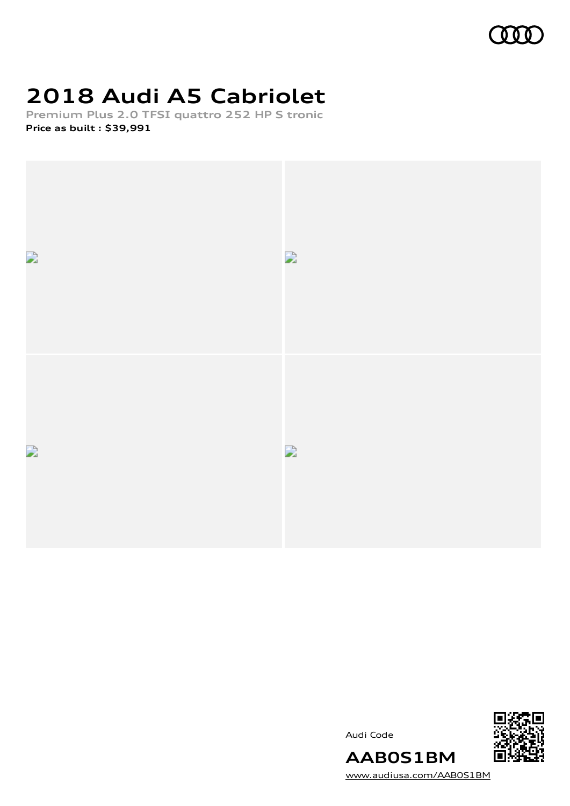# **2018 Audi A5 Cabriolet**

**Premium Plus 2.0 TFSI quattro 252 HP S tronic Price as built [:](#page-7-0) \$39,991**







[www.audiusa.com/AAB0S1BM](https://www.audiusa.com/AAB0S1BM)

**AAB0S1BM**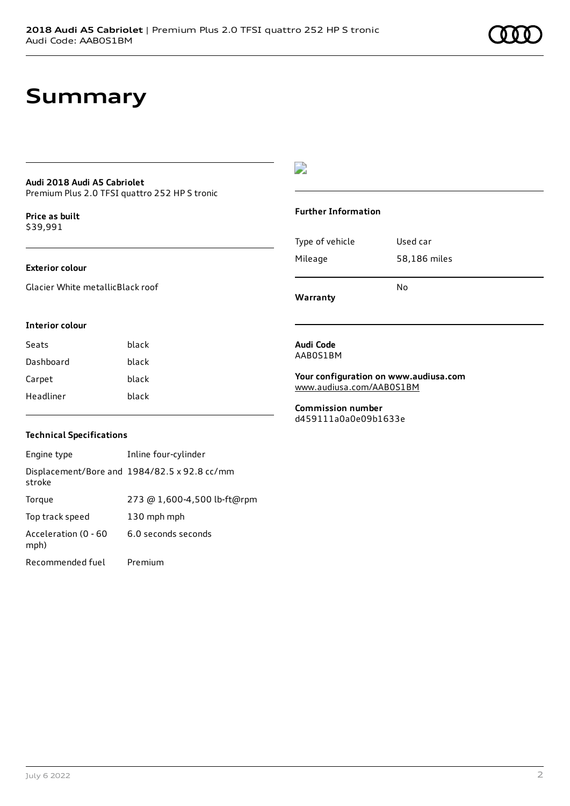### **Summary**

#### **Audi 2018 Audi A5 Cabriolet** Premium Plus 2.0 TFSI quattro 252 HP S tronic

**Price as buil[t](#page-7-0)** \$39,991

#### **Exterior colour**

Glacier White metallicBlack roof

#### **Interior colour**

| black |
|-------|
| black |
| black |
| black |
|       |

### $\overline{\phantom{a}}$

#### **Further Information**

| Mileage | 58,186 miles |
|---------|--------------|
|         |              |
|         |              |
|         | N٥           |

**Warranty**

#### **Audi Code** AAB0S1BM

**Your configuration on www.audiusa.com**

[www.audiusa.com/AAB0S1BM](https://www.audiusa.com/AAB0S1BM)

**Commission number** d459111a0a0e09b1633e

### **Technical Specifications**

| Engine type                  | Inline four-cylinder                         |
|------------------------------|----------------------------------------------|
| stroke                       | Displacement/Bore and 1984/82.5 x 92.8 cc/mm |
| Torque                       | 273 @ 1,600-4,500 lb-ft@rpm                  |
| Top track speed              | 130 mph mph                                  |
| Acceleration (0 - 60<br>mph) | 6.0 seconds seconds                          |
| Recommended fuel             | Premium                                      |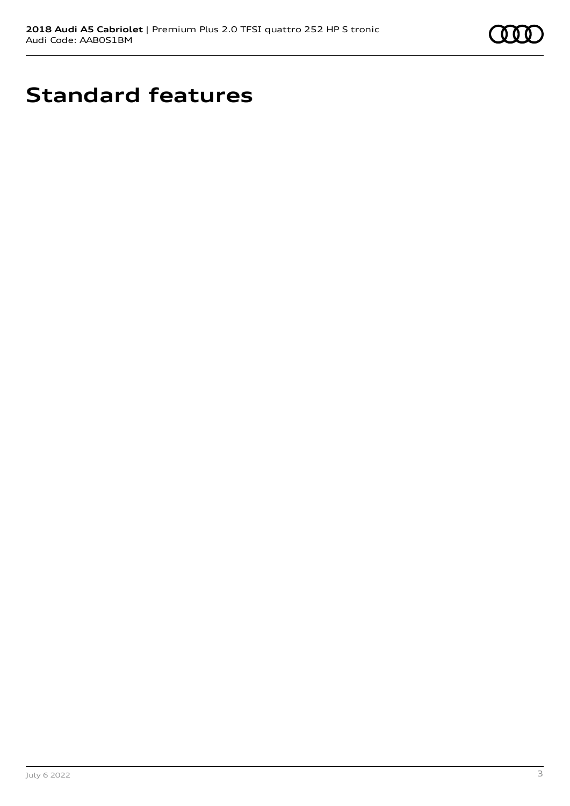

# **Standard features**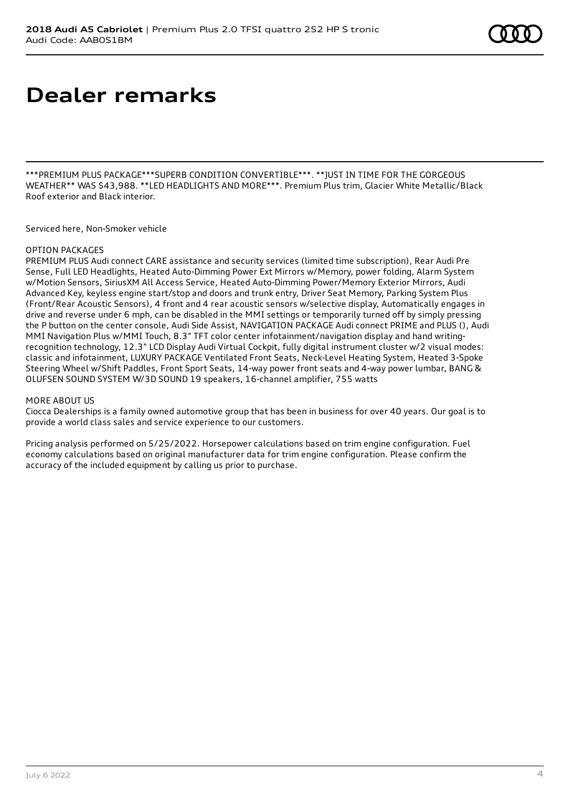# **Dealer remarks**

\*\*\*PREMIUM PLUS PACKAGE\*\*\*SUPERB CONDITION CONVERTIBLE\*\*\*. \*\*JUST IN TIME FOR THE GORGEOUS WEATHER\*\* WAS \$43,988. \*\*LED HEADLIGHTS AND MORE\*\*\*. Premium Plus trim, Glacier White Metallic/Black Roof exterior and Black interior.

Serviced here, Non-Smoker vehicle

### OPTION PACKAGES

PREMIUM PLUS Audi connect CARE assistance and security services (limited time subscription), Rear Audi Pre Sense, Full LED Headlights, Heated Auto-Dimming Power Ext Mirrors w/Memory, power folding, Alarm System w/Motion Sensors, SiriusXM All Access Service, Heated Auto-Dimming Power/Memory Exterior Mirrors, Audi Advanced Key, keyless engine start/stop and doors and trunk entry, Driver Seat Memory, Parking System Plus (Front/Rear Acoustic Sensors), 4 front and 4 rear acoustic sensors w/selective display, Automatically engages in drive and reverse under 6 mph, can be disabled in the MMI settings or temporarily turned off by simply pressing the P button on the center console, Audi Side Assist, NAVIGATION PACKAGE Audi connect PRIME and PLUS (), Audi MMI Navigation Plus w/MMI Touch, 8.3" TFT color center infotainment/navigation display and hand writingrecognition technology, 12.3" LCD Display Audi Virtual Cockpit, fully digital instrument cluster w/2 visual modes: classic and infotainment, LUXURY PACKAGE Ventilated Front Seats, Neck-Level Heating System, Heated 3-Spoke Steering Wheel w/Shift Paddles, Front Sport Seats, 14-way power front seats and 4-way power lumbar, BANG & OLUFSEN SOUND SYSTEM W/3D SOUND 19 speakers, 16-channel amplifier, 755 watts

#### MORE ABOUT US

Ciocca Dealerships is a family owned automotive group that has been in business for over 40 years. Our goal is to provide a world class sales and service experience to our customers.

Pricing analysis performed on 5/25/2022. Horsepower calculations based on trim engine configuration. Fuel economy calculations based on original manufacturer data for trim engine configuration. Please confirm the accuracy of the included equipment by calling us prior to purchase.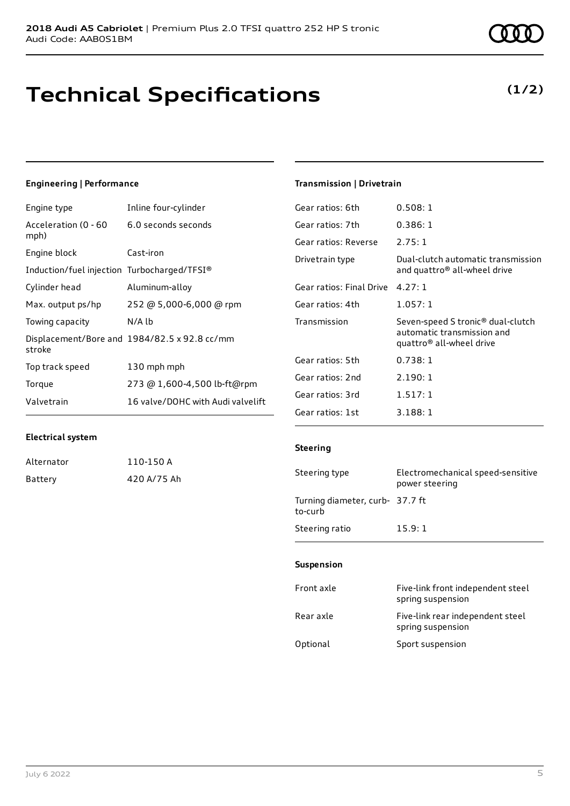## **Technical Specifications**

### **Engineering | Performance**

| Engine type                                 | Inline four-cylinder                         |
|---------------------------------------------|----------------------------------------------|
| Acceleration (0 - 60<br>mph)                | 6.0 seconds seconds                          |
| Engine block                                | Cast-iron                                    |
| Induction/fuel injection Turbocharged/TFSI® |                                              |
| Cylinder head                               | Aluminum-alloy                               |
| Max. output ps/hp                           | 252 @ 5,000-6,000 @ rpm                      |
| Towing capacity                             | N/A lb                                       |
| stroke                                      | Displacement/Bore and 1984/82.5 x 92.8 cc/mm |
| Top track speed                             | 130 mph mph                                  |
| Torque                                      | 273 @ 1,600-4,500 lb-ft@rpm                  |
| Valvetrain                                  | 16 valve/DOHC with Audi valvelift            |

### **Transmission | Drivetrain**

| Gear ratios: 6th         | 0.508:1                                                                                                 |
|--------------------------|---------------------------------------------------------------------------------------------------------|
| Gear ratios: 7th         | 0.386:1                                                                                                 |
| Gear ratios: Reverse     | 2.75:1                                                                                                  |
| Drivetrain type          | Dual-clutch automatic transmission<br>and quattro® all-wheel drive                                      |
| Gear ratios: Final Drive | 4.27:1                                                                                                  |
| Gear ratios: 4th         | 1.057:1                                                                                                 |
| Transmission             | Seven-speed S tronic <sup>®</sup> dual-clutch<br>automatic transmission and<br>quattro® all-wheel drive |
| Gear ratios: 5th         | 0.738:1                                                                                                 |
| Gear ratios: 2nd         | 2.190:1                                                                                                 |
| Gear ratios: 3rd         | 1.517:1                                                                                                 |
| Gear ratios: 1st         | 3.188:1                                                                                                 |

#### **Electrical system**

| Alternator | 110-150 A   |
|------------|-------------|
| Battery    | 420 A/75 Ah |

#### **Steering**

| Steering type                              | Electromechanical speed-sensitive<br>power steering |
|--------------------------------------------|-----------------------------------------------------|
| Turning diameter, curb- 37.7 ft<br>to-curb |                                                     |
| Steering ratio                             | 15.9:1                                              |

#### **Suspension**

| Front axle | Five-link front independent steel<br>spring suspension |
|------------|--------------------------------------------------------|
| Rear axle  | Five-link rear independent steel<br>spring suspension  |
| Optional   | Sport suspension                                       |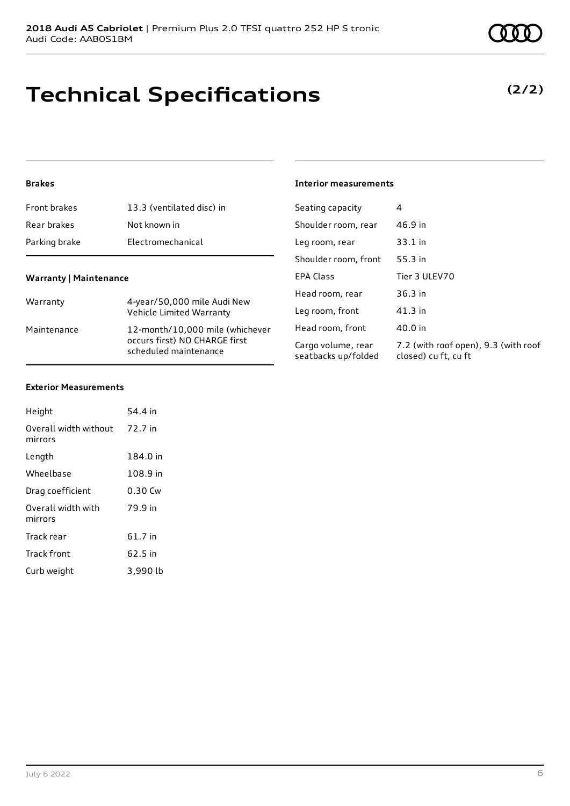## **Technical Specifications**

### **Brakes**

| 13.3 (ventilated disc) in                                                                                | Seating capacity                          | 4                                                            |
|----------------------------------------------------------------------------------------------------------|-------------------------------------------|--------------------------------------------------------------|
| Not known in                                                                                             | Shoulder room, rear                       | 46.9 in                                                      |
| Electromechanical                                                                                        | Leg room, rear                            | $33.1$ in                                                    |
|                                                                                                          | Shoulder room, front                      | 55.3 in                                                      |
|                                                                                                          | <b>EPA Class</b>                          | Tier 3 ULEV70                                                |
| 4-year/50,000 mile Audi New<br>Warranty<br>Vehicle Limited Warranty                                      | Head room, rear                           | 36.3 in                                                      |
|                                                                                                          | Leg room, front                           | $41.3$ in                                                    |
| 12-month/10,000 mile (whichever<br>Maintenance<br>occurs first) NO CHARGE first<br>scheduled maintenance | Head room, front                          | 40.0 in                                                      |
|                                                                                                          | Cargo volume, rear<br>seatbacks up/folded | 7.2 (with roof open), 9.3 (with roof<br>closed) cu ft, cu ft |
|                                                                                                          | <b>Warranty   Maintenance</b>             |                                                              |

**Interior measurements**

#### **Exterior Measurements**

| Height                           | 54.4 in   |
|----------------------------------|-----------|
| Overall width without<br>mirrors | 72.7 in   |
| Length                           | 184.0 in  |
| Wheelbase                        | 108.9 in  |
| Drag coefficient                 | $0.30$ Cw |
| Overall width with<br>mirrors    | 79.9 in   |
| Track rear                       | 61.7 in   |
| Track front                      | 62.5 in   |
| Curb weight                      | 3,990 lb  |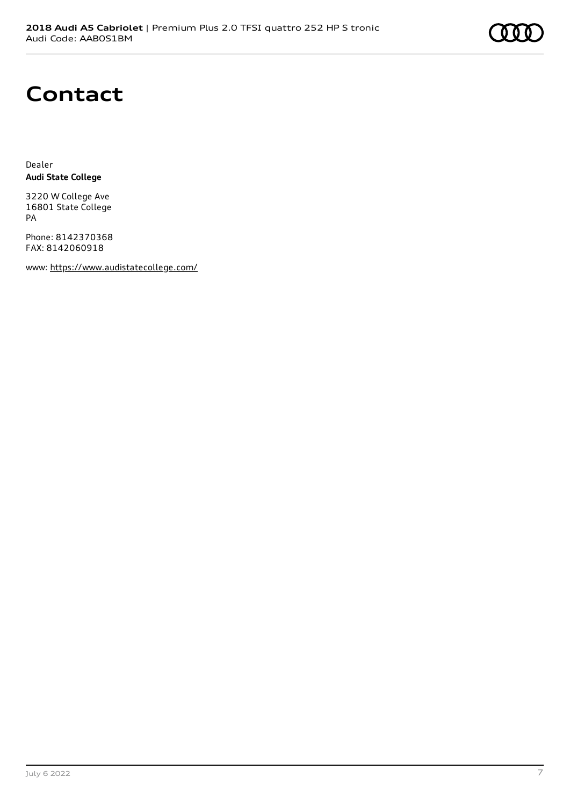

# **Contact**

Dealer **Audi State College**

3220 W College Ave 16801 State College PA

Phone: 8142370368 FAX: 8142060918

www: <https://www.audistatecollege.com/>